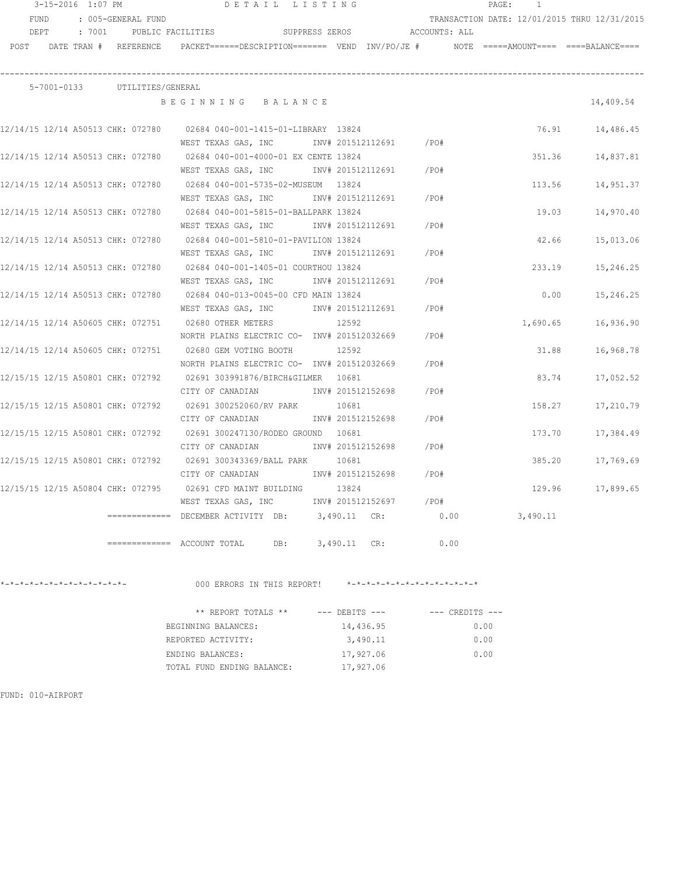|      |      | 3-15-2016 1:07 PM |                               |                                                                                                                       | DETAIL LISTING                     |       |                                                         |         | PAGE:               | 1        |                                              |
|------|------|-------------------|-------------------------------|-----------------------------------------------------------------------------------------------------------------------|------------------------------------|-------|---------------------------------------------------------|---------|---------------------|----------|----------------------------------------------|
|      | FUND |                   | : 005-GENERAL FUND            |                                                                                                                       |                                    |       |                                                         |         |                     |          | TRANSACTION DATE: 12/01/2015 THRU 12/31/2015 |
|      | DEPT |                   | : 7001 PUBLIC FACILITIES      |                                                                                                                       | SUPPRESS ZEROS ACCOUNTS: ALL       |       |                                                         |         |                     |          |                                              |
| POST |      |                   |                               | DATE TRAN # REFERENCE PACKET======DESCRIPTION======= VEND INV/PO/JE # NOTE =====AMOUNT==== ====BALANCE====            |                                    |       |                                                         |         |                     |          |                                              |
|      |      |                   | 5-7001-0133 UTILITIES/GENERAL |                                                                                                                       |                                    |       |                                                         |         |                     |          |                                              |
|      |      |                   |                               | BEGINNING BALANCE                                                                                                     |                                    |       |                                                         |         |                     |          | 14,409.54                                    |
|      |      |                   |                               | 12/14/15 12/14 A50513 CHK: 072780 02684 040-001-1415-01-LIBRARY 13824<br>WEST TEXAS GAS, INC MONTH 201512112691 / PO# |                                    |       |                                                         |         |                     | 76.91    | 14,486.45                                    |
|      |      |                   |                               | 12/14/15 12/14 A50513 CHK: 072780 02684 040-001-4000-01 EX CENTE 13824<br>WEST TEXAS GAS, INC       INV# 201512112691 |                                    |       |                                                         | /PO#    |                     | 351.36   | 14,837.81                                    |
|      |      |                   |                               | 12/14/15 12/14 A50513 CHK: 072780 02684 040-001-5735-02-MUSEUM 13824<br>WEST TEXAS GAS, INC METALL 1NV# 201512112691  |                                    |       |                                                         | /PO#    |                     | 113.56   | 14,951.37                                    |
|      |      |                   |                               | 12/14/15 12/14 A50513 CHK: 072780 02684 040-001-5815-01-BALLPARK 13824<br>WEST TEXAS GAS, INC MONTH 201512112691      |                                    |       |                                                         | /PO#    |                     | 19.03    | 14,970.40                                    |
|      |      |                   |                               | 12/14/15 12/14 A50513 CHK: 072780 02684 040-001-5810-01-PAVILION 13824<br>WEST TEXAS GAS, INC                         | INV# 201512112691                  |       |                                                         | /PO#    |                     | 42.66    | 15,013.06                                    |
|      |      |                   |                               | 12/14/15 12/14 A50513 CHK: 072780 02684 040-001-1405-01 COURTHOU 13824<br>WEST TEXAS GAS, INC                         |                                    |       | INV# 201512112691                                       | /PO#    |                     | 233.19   | 15,246.25                                    |
|      |      |                   |                               | 12/14/15 12/14 A50513 CHK: 072780 02684 040-013-0045-00 CFD MAIN 13824<br>WEST TEXAS GAS, INC MOTH 201512112691       |                                    |       |                                                         | /PO#    |                     | 0.00     | 15,246.25                                    |
|      |      |                   |                               | 12/14/15 12/14 A50605 CHK: 072751 02680 OTHER METERS<br>NORTH PLAINS ELECTRIC CO- INV# 201512032669                   |                                    | 12592 |                                                         | /PO#    |                     | 1,690.65 | 16,936.90                                    |
|      |      |                   |                               | 12/14/15 12/14 A50605 CHK: 072751 02680 GEM VOTING BOOTH<br>NORTH PLAINS ELECTRIC CO- INV# 201512032669               |                                    | 12592 |                                                         | /PO#    |                     | 31.88    | 16,968.78                                    |
|      |      |                   |                               | 12/15/15 12/15 A50801 CHK: 072792 02691 303991876/BIRCH&GILMER 10681<br>CITY OF CANADIAN MW# 201512152698             |                                    |       |                                                         | /PO#    |                     | 83.74    | 17,052.52                                    |
|      |      |                   |                               | CITY OF CANADIAN                                                                                                      |                                    | 10681 | INV# 201512152698                                       | /PO#    |                     | 158.27   | 17,210.79                                    |
|      |      |                   |                               | 12/15/15 12/15 A50801 CHK: 072792 02691 300247130/RODEO GROUND 10681<br>CITY OF CANADIAN INV# 201512152698            |                                    |       |                                                         | $/$ PO# |                     | 173.70   | 17,384.49                                    |
|      |      |                   |                               | 12/15/15 12/15 A50801 CHK: 072792 02691 300343369/BALL PARK 10681<br>CITY OF CANADIAN MW# 201512152698                |                                    |       |                                                         | $/$ PO# |                     | 385.20   | 17,769.69                                    |
|      |      |                   |                               | 12/15/15 12/15 A50804 CHK: 072795 02691 CFD MAINT BUILDING 13824<br>WEST TEXAS GAS, INC                               |                                    |       | INV# 201512152697 /PO#                                  |         |                     | 129.96   | 17,899.65                                    |
|      |      |                   |                               | ============= DECEMBER ACTIVITY DB: 3,490.11 CR:                                                                      |                                    |       |                                                         | 0.00    |                     | 3,490.11 |                                              |
|      |      |                   |                               | =============    ACCOUNT  TOTAL                                                                                       | DB: 3,490.11 CR:                   |       |                                                         | 0.00    |                     |          |                                              |
|      |      |                   |                               |                                                                                                                       | 000 ERRORS IN THIS REPORT!         |       | $* - * - * - * - * - * - * - * - * - * - * - * - * - *$ |         |                     |          |                                              |
|      |      |                   |                               |                                                                                                                       | ** REPORT TOTALS ** --- DEBITS --- |       |                                                         |         | $---$ CREDITS $---$ |          |                                              |
|      |      |                   |                               | BEGINNING BALANCES:<br>REPORTED ACTIVITY:                                                                             |                                    |       | 14,436.95<br>3,490.11                                   |         | 0.00<br>0.00        |          |                                              |

ENDING BALANCES:  $17,927.06$  0.00

TOTAL FUND ENDING BALANCE: 17, 927.06

FUND: 010-AIRPORT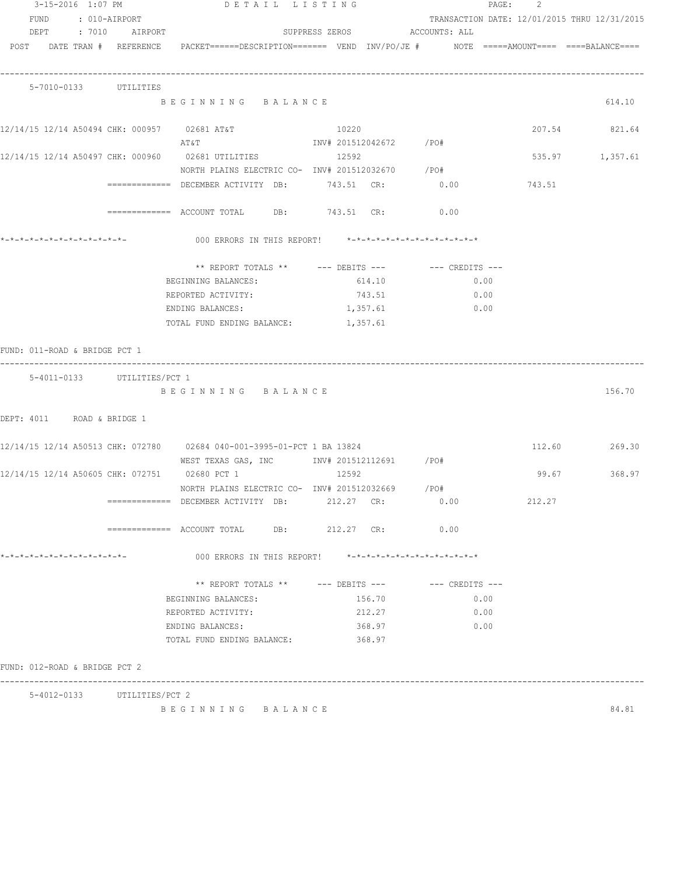| 3-15-2016 1:07 PM             |  |                             | DETAIL LISTING                                                                                                 |  |        |                                                         | PAGE:<br>2                                   |                 |  |
|-------------------------------|--|-----------------------------|----------------------------------------------------------------------------------------------------------------|--|--------|---------------------------------------------------------|----------------------------------------------|-----------------|--|
|                               |  | FUND : 010-AIRPORT          |                                                                                                                |  |        |                                                         | TRANSACTION DATE: 12/01/2015 THRU 12/31/2015 |                 |  |
|                               |  | DEPT : 7010 AIRPORT         | SUPPRESS ZEROS ACCOUNTS: ALL                                                                                   |  |        |                                                         |                                              |                 |  |
|                               |  |                             | POST DATE TRAN # REFERENCE PACKET=====DESCRIPTION======= VEND INV/PO/JE # NOTE =====AMOUNT==== ====BALANCE==== |  |        |                                                         |                                              |                 |  |
|                               |  | 5-7010-0133 UTILITIES       |                                                                                                                |  |        |                                                         |                                              |                 |  |
|                               |  |                             | BEGINNING BALANCE                                                                                              |  |        |                                                         |                                              | 614.10          |  |
|                               |  |                             | 12/14/15 12/14 A50494 CHK: 000957 02681 AT&T 10220 10220                                                       |  |        |                                                         |                                              | 207.54 821.64   |  |
|                               |  |                             | 12/14/15 12/14 A50497 CHK: 000960 02681 UTILITIES 12592                                                        |  |        |                                                         |                                              | 535.97 1,357.61 |  |
|                               |  |                             | NORTH PLAINS ELECTRIC CO- INV# 201512032670 / PO#                                                              |  |        |                                                         |                                              |                 |  |
|                               |  |                             | ============ DECEMBER ACTIVITY DB: 743.51 CR: 0.00 743.51                                                      |  |        |                                                         |                                              |                 |  |
|                               |  |                             | ============= ACCOUNT TOTAL DB: 743.51 CR: 0.00                                                                |  |        |                                                         |                                              |                 |  |
|                               |  |                             | *-*-*-*-*-*-*-*-*-*-*-*-*-         000 ERRORS IN THIS REPORT! *-*-*-*-*-*-*-*-*-*-*-*-*-*                      |  |        |                                                         |                                              |                 |  |
|                               |  |                             | ** REPORT TOTALS ** --- DEBITS --- -- CREDITS ---                                                              |  |        |                                                         |                                              |                 |  |
|                               |  |                             | BEGINNING BALANCES:                                                                                            |  | 614.10 | 0.00                                                    |                                              |                 |  |
|                               |  |                             | REPORTED ACTIVITY:                                                                                             |  |        | 743.51 0.00                                             |                                              |                 |  |
|                               |  |                             | ENDING BALANCES: $1,357.61$ 0.00                                                                               |  |        |                                                         |                                              |                 |  |
|                               |  |                             | TOTAL FUND ENDING BALANCE: 1,357.61                                                                            |  |        |                                                         |                                              |                 |  |
| FUND: 011-ROAD & BRIDGE PCT 1 |  | 5-4011-0133 UTILITIES/PCT 1 |                                                                                                                |  |        |                                                         |                                              |                 |  |
|                               |  |                             | BEGINNING BALANCE                                                                                              |  |        |                                                         |                                              | 156.70          |  |
| DEPT: 4011 ROAD & BRIDGE 1    |  |                             |                                                                                                                |  |        |                                                         |                                              |                 |  |
|                               |  |                             | 12/14/15 12/14 A50513 CHK: 072780 02684 040-001-3995-01-PCT 1 BA 13824                                         |  |        |                                                         |                                              | 112.60 269.30   |  |
|                               |  |                             | WEST TEXAS GAS, INC 		 INV# 201512112691 / PO#                                                                 |  |        |                                                         |                                              |                 |  |
|                               |  |                             | 12/14/15 12/14 A50605 CHK: 072751 02680 PCT 1 12592                                                            |  |        |                                                         |                                              | 99.67 368.97    |  |
|                               |  |                             | NORTH PLAINS ELECTRIC CO- INV# 201512032669 / PO#                                                              |  |        |                                                         |                                              |                 |  |
|                               |  |                             | ============= DECEMBER ACTIVITY DB: 212.27 CR:                                                                 |  |        | 0.00                                                    | 212.27                                       |                 |  |
|                               |  |                             | ============= ACCOUNT TOTAL DB: 212.27 CR:                                                                     |  |        | 0.00                                                    |                                              |                 |  |
| *-*-*-*-*-*-*-*-*-*-*-*-*-*-  |  |                             | 000 ERRORS IN THIS REPORT!                                                                                     |  |        | $* - * - * - * - * - * - * - * - * - * - * - * - * - *$ |                                              |                 |  |
|                               |  |                             | ** REPORT TOTALS ** --- DEBITS ---                                                                             |  |        | --- CREDITS ---                                         |                                              |                 |  |
|                               |  |                             | BEGINNING BALANCES:                                                                                            |  | 156.70 |                                                         | 0.00                                         |                 |  |
|                               |  |                             | REPORTED ACTIVITY:                                                                                             |  | 212.27 | 0.00                                                    |                                              |                 |  |
|                               |  |                             | ENDING BALANCES:                                                                                               |  | 368.97 | 0.00                                                    |                                              |                 |  |
|                               |  |                             | TOTAL FUND ENDING BALANCE: 368.97                                                                              |  |        |                                                         |                                              |                 |  |
| FUND: 012-ROAD & BRIDGE PCT 2 |  |                             |                                                                                                                |  |        |                                                         |                                              |                 |  |
|                               |  | 5-4012-0133 UTILITIES/PCT 2 | -----------------------------                                                                                  |  |        |                                                         |                                              |                 |  |

B E G I N N I N G B A L A N C E 84.81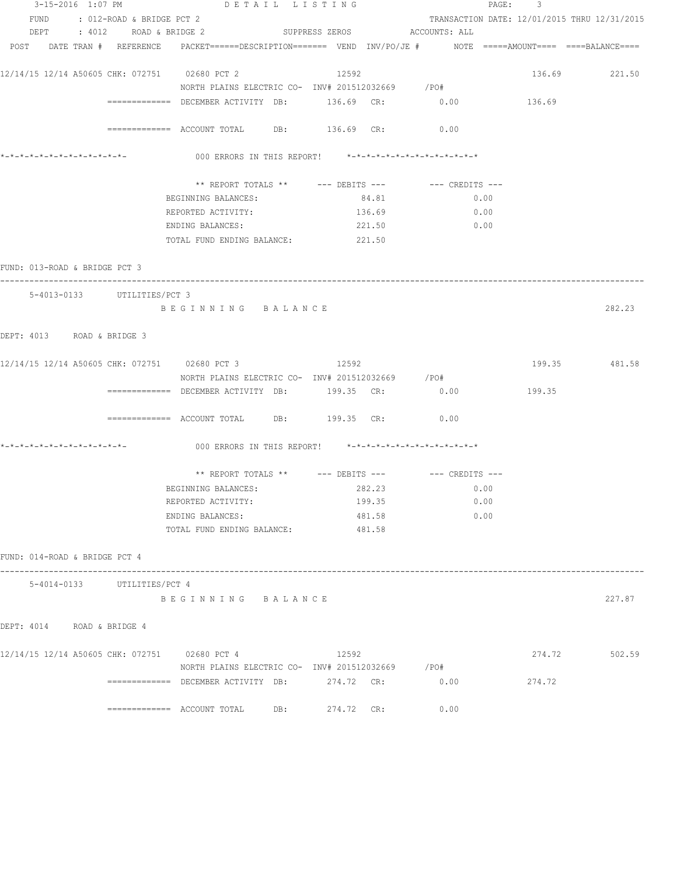|                                | 3-15-2016 1:07 PM                 | DETAIL LISTING                                                                                                  |                              |                                              | 3<br>$\texttt{PAGE}$ : |               |
|--------------------------------|-----------------------------------|-----------------------------------------------------------------------------------------------------------------|------------------------------|----------------------------------------------|------------------------|---------------|
|                                | FUND : 012-ROAD & BRIDGE PCT 2    |                                                                                                                 |                              | TRANSACTION DATE: 12/01/2015 THRU 12/31/2015 |                        |               |
|                                | DEPT : 4012 ROAD & BRIDGE 2       |                                                                                                                 | SUPPRESS ZEROS ACCOUNTS: ALL |                                              |                        |               |
|                                |                                   | POST DATE TRAN # REFERENCE PACKET======DESCRIPTION======= VEND INV/PO/JE # NOTE =====AMOUNT==== ====BALANCE==== |                              |                                              |                        |               |
|                                |                                   | 12/14/15 12/14 A50605 CHK: 072751 02680 PCT 2                                                                   | 12592                        |                                              |                        | 136.69 221.50 |
|                                |                                   | NORTH PLAINS ELECTRIC CO- INV# 201512032669 / PO#                                                               |                              |                                              |                        |               |
|                                |                                   | ============= DECEMBER ACTIVITY DB: 136.69 CR: 0.00 136.69                                                      |                              |                                              |                        |               |
|                                |                                   | ============ ACCOUNT TOTAL DB: 136.69 CR: 0.00                                                                  |                              |                                              |                        |               |
| *_*_*_*_*_*_*_*_*_*_*_*_*_*_*_ |                                   | 000 ERRORS IN THIS REPORT! *-*-*-*-*-*-*-*-*-*-*-*-*-*-                                                         |                              |                                              |                        |               |
|                                |                                   | ** REPORT TOTALS ** --- DEBITS ---                                                                              |                              | --- CREDITS ---                              |                        |               |
|                                |                                   | BEGINNING BALANCES:                                                                                             | 84.81                        | 0.00                                         |                        |               |
|                                |                                   | REPORTED ACTIVITY:                                                                                              | 136.69                       | 0.00                                         |                        |               |
|                                |                                   | ENDING BALANCES:                                                                                                | 221.50                       | 0.00                                         |                        |               |
|                                |                                   | TOTAL FUND ENDING BALANCE: 221.50                                                                               |                              |                                              |                        |               |
| FUND: 013-ROAD & BRIDGE PCT 3  |                                   |                                                                                                                 |                              |                                              |                        |               |
|                                |                                   |                                                                                                                 |                              |                                              |                        |               |
|                                | 5-4013-0133 UTILITIES/PCT 3       | BEGINNING BALANCE                                                                                               |                              |                                              |                        | 282.23        |
| DEPT: 4013 ROAD & BRIDGE 3     |                                   |                                                                                                                 |                              |                                              |                        |               |
|                                |                                   | 12/14/15 12/14 A50605 CHK: 072751     02680 PCT 3                                                               | 12592                        |                                              |                        | 199.35 481.58 |
|                                |                                   | NORTH PLAINS ELECTRIC CO- INV# 201512032669 / PO#                                                               |                              |                                              |                        |               |
|                                |                                   | ============= DECEMBER ACTIVITY DB: 199.35 CR:                                                                  |                              | 0.00                                         | 199.35                 |               |
|                                |                                   |                                                                                                                 |                              |                                              |                        |               |
|                                |                                   | ============ ACCOUNT TOTAL DB: 199.35 CR: 0.00                                                                  |                              |                                              |                        |               |
| *_*_*_*_*_*_*_*_*_*_*_*_*_*_*_ |                                   | 000 ERRORS IN THIS REPORT! *-*-*-*-*-*-*-*-*-*-*-*-*-*-                                                         |                              |                                              |                        |               |
|                                |                                   | ** REPORT TOTALS ** --- DEBITS --- -- CREDITS ---                                                               |                              |                                              |                        |               |
|                                |                                   | BEGINNING BALANCES: 282.23                                                                                      |                              | 0.00                                         |                        |               |
|                                |                                   | REPORTED ACTIVITY:                                                                                              | 199.35                       | 0.00                                         |                        |               |
|                                |                                   | ENDING BALANCES:                                                                                                | 481.58                       | 0.00                                         |                        |               |
|                                |                                   | TOTAL FUND ENDING BALANCE:                                                                                      | 481.58                       |                                              |                        |               |
| FUND: 014-ROAD & BRIDGE PCT 4  |                                   |                                                                                                                 |                              |                                              |                        |               |
|                                | 5-4014-0133 UTILITIES/PCT 4       |                                                                                                                 |                              |                                              |                        |               |
|                                |                                   | BEGINNING BALANCE                                                                                               |                              |                                              |                        | 227.87        |
| DEPT: 4014 ROAD & BRIDGE 4     |                                   |                                                                                                                 |                              |                                              |                        |               |
|                                | 12/14/15 12/14 A50605 CHK: 072751 | 02680 PCT 4                                                                                                     | 12592                        |                                              | 274.72                 | 502.59        |
|                                |                                   | NORTH PLAINS ELECTRIC CO- INV# 201512032669<br>============ DECEMBER ACTIVITY DB:                               | 274.72 CR:                   | / PO#<br>0.00                                | 274.72                 |               |
|                                |                                   |                                                                                                                 | 274.72 CR:                   | 0.00                                         |                        |               |